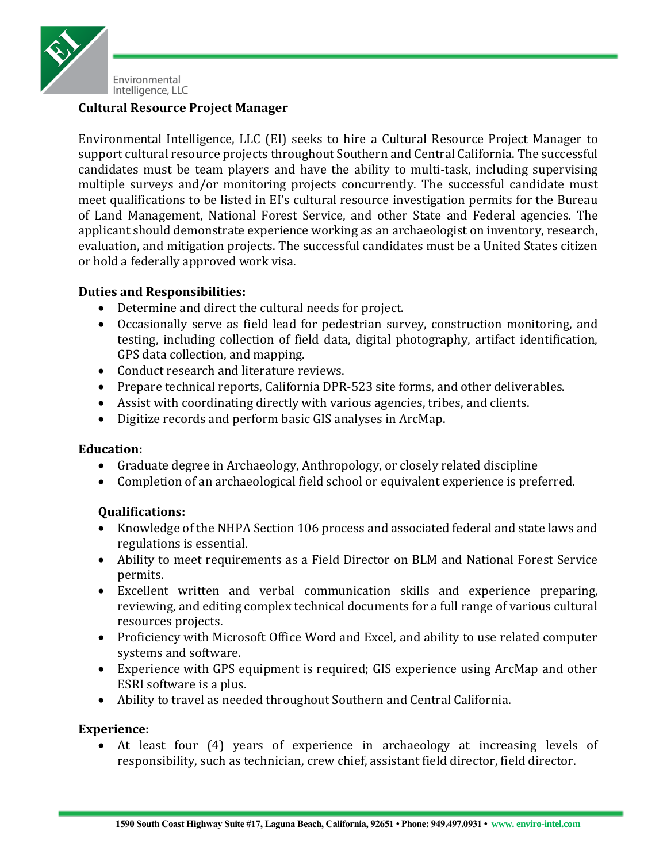

# **Cultural Resource Project Manager**

Environmental Intelligence, LLC (EI) seeks to hire a Cultural Resource Project Manager to support cultural resource projects throughout Southern and Central California. The successful candidates must be team players and have the ability to multi-task, including supervising multiple surveys and/or monitoring projects concurrently. The successful candidate must meet qualifications to be listed in EI's cultural resource investigation permits for the Bureau of Land Management, National Forest Service, and other State and Federal agencies. The applicant should demonstrate experience working as an archaeologist on inventory, research, evaluation, and mitigation projects. The successful candidates must be a United States citizen or hold a federally approved work visa.

## **Duties and Responsibilities:**

- Determine and direct the cultural needs for project.
- Occasionally serve as field lead for pedestrian survey, construction monitoring, and testing, including collection of field data, digital photography, artifact identification, GPS data collection, and mapping.
- Conduct research and literature reviews.
- Prepare technical reports, California DPR-523 site forms, and other deliverables.
- Assist with coordinating directly with various agencies, tribes, and clients.
- Digitize records and perform basic GIS analyses in ArcMap.

## **Education:**

- Graduate degree in Archaeology, Anthropology, or closely related discipline
- Completion of an archaeological field school or equivalent experience is preferred.

## **Qualifications:**

- Knowledge of the NHPA Section 106 process and associated federal and state laws and regulations is essential.
- Ability to meet requirements as a Field Director on BLM and National Forest Service permits.
- Excellent written and verbal communication skills and experience preparing, reviewing, and editing complex technical documents for a full range of various cultural resources projects.
- Proficiency with Microsoft Office Word and Excel, and ability to use related computer systems and software.
- Experience with GPS equipment is required; GIS experience using ArcMap and other ESRI software is a plus.
- Ability to travel as needed throughout Southern and Central California.

## **Experience:**

 At least four (4) years of experience in archaeology at increasing levels of responsibility, such as technician, crew chief, assistant field director, field director.